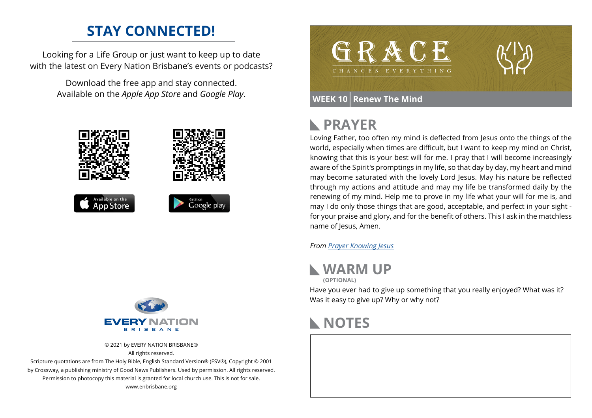### **STAY CONNECTED!**

Looking for a Life Group or just want to keep up to date with the latest on Every Nation Brisbane's events or podcasts?

> Download the free app and stay connected. Available on the *Apple App Store* and *Google Play*.





© 2021 by EVERY NATION BRISBANE® All rights reserved.

Scripture quotations are from The Holy Bible, English Standard Version® (ESV®), Copyright © 2001 by Crossway, a publishing ministry of Good News Publishers. Used by permission. All rights reserved. Permission to photocopy this material is granted for local church use. This is not for sale. www.enbrisbane.org



## **PRAYER**

Loving Father, too often my mind is deflected from Jesus onto the things of the world, especially when times are difficult, but I want to keep my mind on Christ, knowing that this is your best will for me. I pray that I will become increasingly aware of the Spirit's promptings in my life, so that day by day, my heart and mind may become saturated with the lovely Lord Jesus. May his nature be reflected through my actions and attitude and may my life be transformed daily by the renewing of my mind. Help me to prove in my life what your will for me is, and may I do only those things that are good, acceptable, and perfect in your sight for your praise and glory, and for the benefit of others. This I ask in the matchless name of Jesus, Amen.

*From [Prayer](https://prayer.knowing-jesus.com/Romans/12) Knowing Jesus*



Have you ever had to give up something that you really enjoyed? What was it? Was it easy to give up? Why or why not?

## **NOTES**